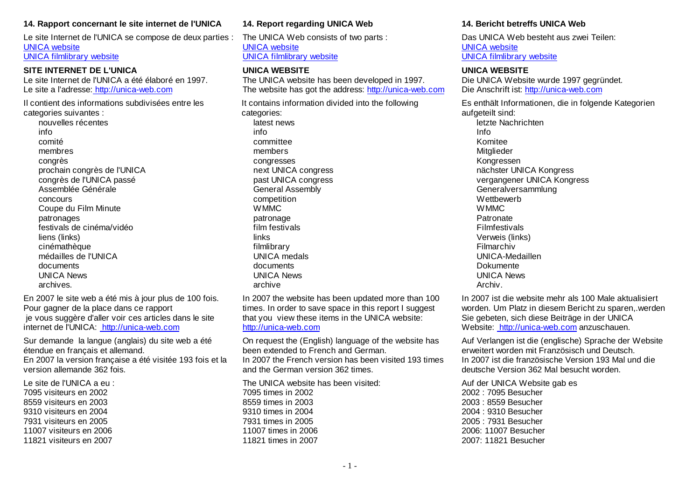## **14. Rapport concernant le site internet de l'UNICA 14. Report regarding UNICA Web 14. Bericht betreffs UNICA Web**

Le site Internet de l'UNICA se compose de deux parties : UNICA website UNICA filmlibrary website

### **SITE INTERNET DE L'UNICA UNICA WEBSITE UNICA WEBSITE**

Le site Internet de l'UNICA a été élaboré en 1997. Le site a l'adresse: http://unica-web.com

Il contient des informations subdivisées entre les categories suiv antes :

nouv elles récentes info comité membres congrès prochain congrès de l'UNICA congrès de l'UNICA passé Assemblée Générale concours Coupe du Film Minute patronages festivals de cinéma/vidéo liens (links) cinémathèque médailles de l'UNICA documents UNICA News archiv es.

En 2007 le site web a été mis à jour plus de 100 fois. Pour gagner de la place dans ce rapport je vous suggère d'aller voir ces articles dans le site internet de l'UNICA: http://unica-web.com

Sur demande la langue (anglais) du site web a été étendue en français et allemand. En 2007 la version française a été visitée 193 fois et la version allemande 362 fois.

Le site de l'UNICA a eu :

- 7095 v isiteurs en 2002 8559 visiteurs en 2003 9310 visiteurs en 2004 7931 visiteurs en 2005
- 
- 11007 visiteurs en 2006 11821 visiteurs en 2007

The UNICA Web consists of two parts : UNICA website UNICA filmlibrary website

The UNICA website has been developed in 1997. The website has got the address: http://unica-web.com

It contains information divided into the following categories: latest news info committee members congresses next UNICA congress past UNICA congress General Assembly competition **WMMC** patronage film festivals links filmlibrary UNICA medals documents UNICA News archive

In 2007 the website has been updated more than 100 times. In order to save space in this report I suggest that you view these items in the UNICA website: http://unica-web.com

On request the (English) language of the website has been extended to French and German. In 2007 the French version has been visited 193 times and the German version 362 times.

The UNICA website has been visited: 7095 times in 2002 8559 times in 2003 9310 times in 2004 7931 times in 2005 11007 times in 2006 11821 times in 2007

Das UNICA Web besteht aus zwei Teilen: UNICA website UNICA filmlibrary website

Die UNICA Website wurde 1997 gegründet. Die Anschrift ist: http://unica-web.com

Es enthält Informationen, die in folgende Kategorien aufgeteilt sind: letzte Nachrichten Info Komitee **Mitalieder** Kongressen nächster UNICA Kongress v ergangener UNICA Kongress Generalversammlung **Wetthewerb** WMMC **Patronate Filmfestivals** Verweis (links) Filmarchiv UNICA-Medaillen Dokumente UNICA News Archiv.

In 2007 ist die website mehr als 100 Male aktualisiert worden. Um Platz in diesem Bericht zu sparen,.werden Sie gebeten, sich diese Beiträge in der UNICA Website: http://unica-web.com anzuschauen.

Auf Verlangen ist die (englische) Sprache der Website erweitert worden mit Französisch und Deutsch. In 2007 ist die französische Version 193 Mal und die deutsche Version 362 Mal besucht worden.

Auf der UNICA Website gab es 2002 : 7095 Besucher 2003 : 8559 Besucher 2004 : 9310 Besucher 2005 : 7931 Besucher 2006: 11007 Besucher 2007: 11821 Besucher